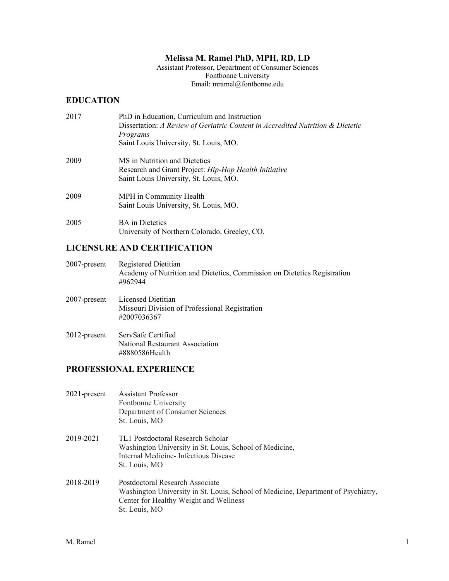## **Melissa M. Ramel PhD, MPH, RD, LD**

Assistant Professor, Department of Consumer Sciences Fontbonne University Email: mramel@fontbonne.edu

#### **EDUCATION**

| 2017 | PhD in Education, Curriculum and Instruction<br>Dissertation: A Review of Geriatric Content in Accredited Nutrition & Dietetic<br>Programs<br>Saint Louis University, St. Louis, MO. |
|------|--------------------------------------------------------------------------------------------------------------------------------------------------------------------------------------|
| 2009 | MS in Nutrition and Dietetics<br>Research and Grant Project: Hip-Hop Health Initiative<br>Saint Louis University, St. Louis, MO.                                                     |
| 2009 | MPH in Community Health<br>Saint Louis University, St. Louis, MO.                                                                                                                    |
| 2005 | <b>BA</b> in Dietetics<br>University of Northern Colorado, Greeley, CO.                                                                                                              |

#### **LICENSURE AND CERTIFICATION**

| $2007$ -present | Registered Dietitian                                                     |
|-----------------|--------------------------------------------------------------------------|
|                 | Academy of Nutrition and Dietetics, Commission on Dietetics Registration |
|                 | #962944                                                                  |

| 2007-present | Licensed Dietitian                             |
|--------------|------------------------------------------------|
|              | Missouri Division of Professional Registration |
|              | #2007036367                                    |
|              |                                                |

2012-present ServSafe Certified National Restaurant Association #8880586Health

### **PROFESSIONAL EXPERIENCE**

| 2021-present | <b>Assistant Professor</b><br>Fontbonne University<br>Department of Consumer Sciences<br>St. Louis, MO                                                                          |
|--------------|---------------------------------------------------------------------------------------------------------------------------------------------------------------------------------|
| 2019-2021    | TL1 Postdoctoral Research Scholar<br>Washington University in St. Louis, School of Medicine,<br>Internal Medicine-Infectious Disease<br>St. Louis, MO                           |
| 2018-2019    | Postdoctoral Research Associate<br>Washington University in St. Louis, School of Medicine, Department of Psychiatry,<br>Center for Healthy Weight and Wellness<br>St. Louis, MO |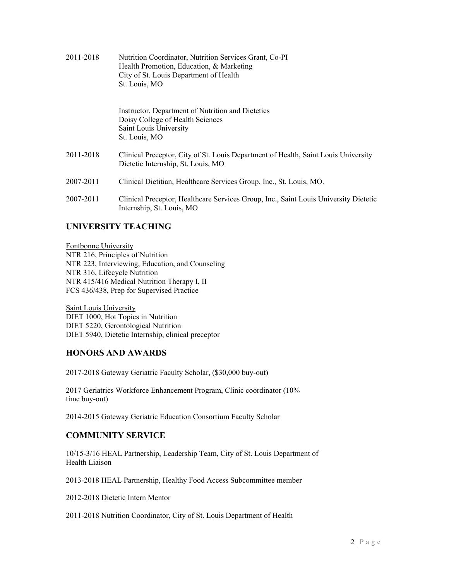| 2011-2018 | Nutrition Coordinator, Nutrition Services Grant, Co-PI<br>Health Promotion, Education, & Marketing<br>City of St. Louis Department of Health<br>St. Louis, MO |
|-----------|---------------------------------------------------------------------------------------------------------------------------------------------------------------|
|           | Instructor, Department of Nutrition and Dietetics<br>Doisy College of Health Sciences<br>Saint Louis University<br>St. Louis, MO                              |
| 2011-2018 | Clinical Preceptor, City of St. Louis Department of Health, Saint Louis University<br>Dietetic Internship, St. Louis, MO                                      |
| 2007-2011 | Clinical Dietitian, Healthcare Services Group, Inc., St. Louis, MO.                                                                                           |
| 2007-2011 | Clinical Preceptor, Healthcare Services Group, Inc., Saint Louis University Dietetic<br>Internship, St. Louis, MO                                             |

## **UNIVERSITY TEACHING**

Fontbonne University NTR 216, Principles of Nutrition NTR 223, Interviewing, Education, and Counseling NTR 316, Lifecycle Nutrition NTR 415/416 Medical Nutrition Therapy I, II FCS 436/438, Prep for Supervised Practice

Saint Louis University DIET 1000, Hot Topics in Nutrition DIET 5220, Gerontological Nutrition DIET 5940, Dietetic Internship, clinical preceptor

## **HONORS AND AWARDS**

2017-2018 Gateway Geriatric Faculty Scholar, (\$30,000 buy-out)

2017 Geriatrics Workforce Enhancement Program, Clinic coordinator (10% time buy-out)

2014-2015 Gateway Geriatric Education Consortium Faculty Scholar

## **COMMUNITY SERVICE**

10/15-3/16 HEAL Partnership, Leadership Team, City of St. Louis Department of Health Liaison

2013-2018 HEAL Partnership, Healthy Food Access Subcommittee member

2012-2018 Dietetic Intern Mentor

2011-2018 Nutrition Coordinator, City of St. Louis Department of Health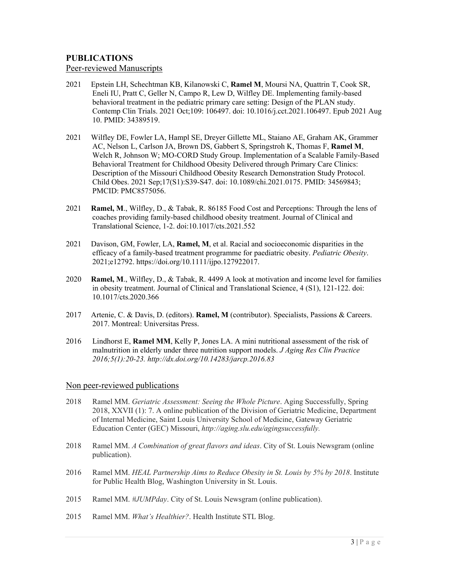## **PUBLICATIONS**

Peer-reviewed Manuscripts

- 2021 Epstein LH, Schechtman KB, Kilanowski C, **Ramel M**, Moursi NA, Quattrin T, Cook SR, Eneli IU, Pratt C, Geller N, Campo R, Lew D, Wilfley DE. Implementing family-based behavioral treatment in the pediatric primary care setting: Design of the PLAN study. Contemp Clin Trials. 2021 Oct;109: 106497. doi: 10.1016/j.cct.2021.106497. Epub 2021 Aug 10. PMID: 34389519.
- 2021 Wilfley DE, Fowler LA, Hampl SE, Dreyer Gillette ML, Staiano AE, Graham AK, Grammer AC, Nelson L, Carlson JA, Brown DS, Gabbert S, Springstroh K, Thomas F, **Ramel M**, Welch R, Johnson W; MO-CORD Study Group. Implementation of a Scalable Family-Based Behavioral Treatment for Childhood Obesity Delivered through Primary Care Clinics: Description of the Missouri Childhood Obesity Research Demonstration Study Protocol. Child Obes. 2021 Sep;17(S1):S39-S47. doi: 10.1089/chi.2021.0175. PMID: 34569843; PMCID: PMC8575056.
- 2021 **Ramel, M**., Wilfley, D., & Tabak, R. 86185 Food Cost and Perceptions: Through the lens of coaches providing family-based childhood obesity treatment. Journal of Clinical and Translational Science, 1-2. doi:10.1017/cts.2021.552
- 2021 Davison, GM, Fowler, LA, **Ramel, M**, et al. Racial and socioeconomic disparities in the efficacy of a family-based treatment programme for paediatric obesity. *Pediatric Obesity*. 2021;e12792. https://doi.org/10.1111/ijpo.127922017.
- 2020 **Ramel, M**., Wilfley, D., & Tabak, R. 4499 A look at motivation and income level for families in obesity treatment. Journal of Clinical and Translational Science, 4 (S1), 121-122. doi: 10.1017/cts.2020.366
- 2017 Artenie, C. & Davis, D. (editors). **Ramel, M** (contributor). Specialists, Passions & Careers. 2017. Montreal: Universitas Press.
- 2016 Lindhorst E, **Ramel MM**, Kelly P, Jones LA. A mini nutritional assessment of the risk of malnutrition in elderly under three nutrition support models. *J Aging Res Clin Practice 2016;5(1):20-23. http://dx.doi.org/10.14283/jarcp.2016.83*

#### Non peer-reviewed publications

- 2018 Ramel MM. *Geriatric Assessment: Seeing the Whole Picture*. Aging Successfully, Spring 2018, XXVII (1): 7. A online publication of the Division of Geriatric Medicine, Department of Internal Medicine, Saint Louis University School of Medicine, Gateway Geriatric Education Center (GEC) Missouri, *http://aging.slu.edu/agingsuccessfully.*
- 2018 Ramel MM. *A Combination of great flavors and ideas*. City of St. Louis Newsgram (online publication).
- 2016 Ramel MM. *HEAL Partnership Aims to Reduce Obesity in St. Louis by 5% by 2018*. Institute for Public Health Blog, Washington University in St. Louis.
- 2015 Ramel MM. *#JUMPday*. City of St. Louis Newsgram (online publication).
- 2015 Ramel MM. *What's Healthier?*. Health Institute STL Blog.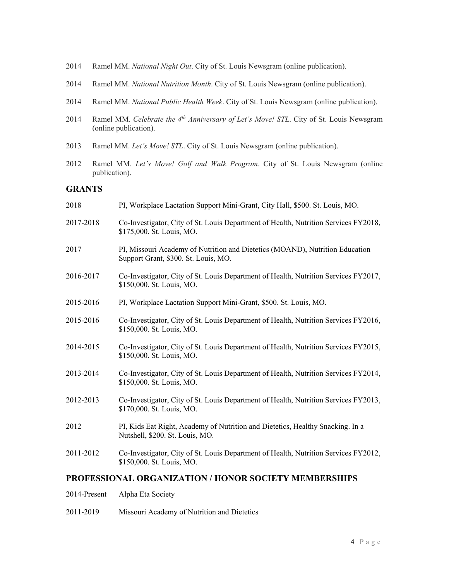- 2014 Ramel MM. *National Night Out*. City of St. Louis Newsgram (online publication).
- 2014 Ramel MM. *National Nutrition Month*. City of St. Louis Newsgram (online publication).
- 2014 Ramel MM. *National Public Health Week*. City of St. Louis Newsgram (online publication).
- 2014 Ramel MM. *Celebrate the 4th Anniversary of Let's Move! STL*. City of St. Louis Newsgram (online publication).
- 2013 Ramel MM. *Let's Move! STL*. City of St. Louis Newsgram (online publication).
- 2012 Ramel MM. *Let's Move! Golf and Walk Program*. City of St. Louis Newsgram (online publication).

#### **GRANTS**

| 2018      | PI, Workplace Lactation Support Mini-Grant, City Hall, \$500. St. Louis, MO.                                         |
|-----------|----------------------------------------------------------------------------------------------------------------------|
| 2017-2018 | Co-Investigator, City of St. Louis Department of Health, Nutrition Services FY2018,<br>\$175,000. St. Louis, MO.     |
| 2017      | PI, Missouri Academy of Nutrition and Dietetics (MOAND), Nutrition Education<br>Support Grant, \$300. St. Louis, MO. |
| 2016-2017 | Co-Investigator, City of St. Louis Department of Health, Nutrition Services FY2017,<br>\$150,000. St. Louis, MO.     |
| 2015-2016 | PI, Workplace Lactation Support Mini-Grant, \$500. St. Louis, MO.                                                    |
| 2015-2016 | Co-Investigator, City of St. Louis Department of Health, Nutrition Services FY2016,<br>\$150,000. St. Louis, MO.     |
| 2014-2015 | Co-Investigator, City of St. Louis Department of Health, Nutrition Services FY2015,<br>\$150,000. St. Louis, MO.     |
| 2013-2014 | Co-Investigator, City of St. Louis Department of Health, Nutrition Services FY2014,<br>\$150,000. St. Louis, MO.     |
| 2012-2013 | Co-Investigator, City of St. Louis Department of Health, Nutrition Services FY2013,<br>\$170,000. St. Louis, MO.     |
| 2012      | PI, Kids Eat Right, Academy of Nutrition and Dietetics, Healthy Snacking. In a<br>Nutshell, \$200. St. Louis, MO.    |
| 2011-2012 | Co-Investigator, City of St. Louis Department of Health, Nutrition Services FY2012,<br>\$150,000. St. Louis, MO.     |
|           |                                                                                                                      |

#### **PROFESSIONAL ORGANIZATION / HONOR SOCIETY MEMBERSHIPS**

2011-2019 Missouri Academy of Nutrition and Dietetics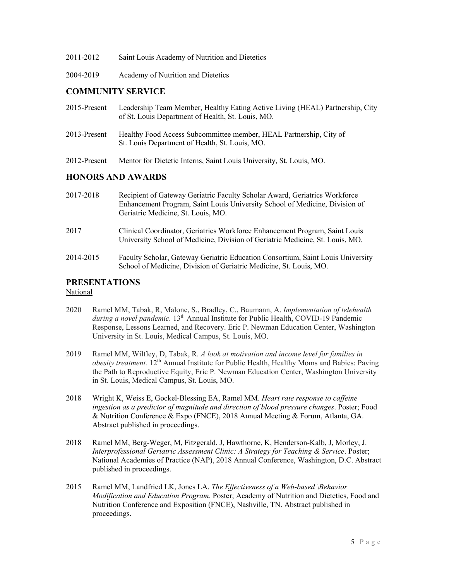| 2011-2012 |  | Saint Louis Academy of Nutrition and Dietetics |
|-----------|--|------------------------------------------------|
|           |  |                                                |

2004-2019 Academy of Nutrition and Dietetics

### **COMMUNITY SERVICE**

| <b>HONORS AND AWARDS</b> |                                                                                                                                    |  |
|--------------------------|------------------------------------------------------------------------------------------------------------------------------------|--|
| 2012-Present             | Mentor for Dietetic Interns, Saint Louis University, St. Louis, MO.                                                                |  |
| 2013-Present             | Healthy Food Access Subcommittee member, HEAL Partnership, City of<br>St. Louis Department of Health, St. Louis, MO.               |  |
| 2015-Present             | Leadership Team Member, Healthy Eating Active Living (HEAL) Partnership, City<br>of St. Louis Department of Health, St. Louis, MO. |  |

| 2017-2018 | Recipient of Gateway Geriatric Faculty Scholar Award, Geriatrics Workforce<br>Enhancement Program, Saint Louis University School of Medicine, Division of<br>Geriatric Medicine, St. Louis, MO. |
|-----------|-------------------------------------------------------------------------------------------------------------------------------------------------------------------------------------------------|
| 2017      | Clinical Coordinator, Geriatrics Workforce Enhancement Program, Saint Louis<br>University School of Medicine, Division of Geriatric Medicine, St. Louis, MO.                                    |
| 2014-2015 | Faculty Scholar, Gateway Geriatric Education Consortium, Saint Louis University<br>School of Medicine, Division of Geriatric Medicine, St. Louis, MO.                                           |

# **PRESENTATIONS**

National

- 2020 Ramel MM, Tabak, R, Malone, S., Bradley, C., Baumann, A. *Implementation of telehealth during a novel pandemic.* 13<sup>th</sup> Annual Institute for Public Health, COVID-19 Pandemic Response, Lessons Learned, and Recovery. Eric P. Newman Education Center, Washington University in St. Louis, Medical Campus, St. Louis, MO.
- 2019 Ramel MM, Wilfley, D, Tabak, R. *A look at motivation and income level for families in obesity treatment.* 12<sup>th</sup> Annual Institute for Public Health, Healthy Moms and Babies: Paving the Path to Reproductive Equity, Eric P. Newman Education Center, Washington University in St. Louis, Medical Campus, St. Louis, MO.
- 2018 Wright K, Weiss E, Gockel-Blessing EA, Ramel MM. *Heart rate response to caffeine ingestion as a predictor of magnitude and direction of blood pressure changes*. Poster; Food & Nutrition Conference & Expo (FNCE), 2018 Annual Meeting & Forum, Atlanta, GA. Abstract published in proceedings.
- 2018 Ramel MM, Berg-Weger, M, Fitzgerald, J, Hawthorne, K, Henderson-Kalb, J, Morley, J. *Interprofessional Geriatric Assessment Clinic: A Strategy for Teaching & Service*. Poster; National Academies of Practice (NAP), 2018 Annual Conference, Washington, D.C. Abstract published in proceedings.
- 2015 Ramel MM, Landfried LK, Jones LA. *The Effectiveness of a Web-based \Behavior Modification and Education Program*. Poster; Academy of Nutrition and Dietetics, Food and Nutrition Conference and Exposition (FNCE), Nashville, TN. Abstract published in proceedings.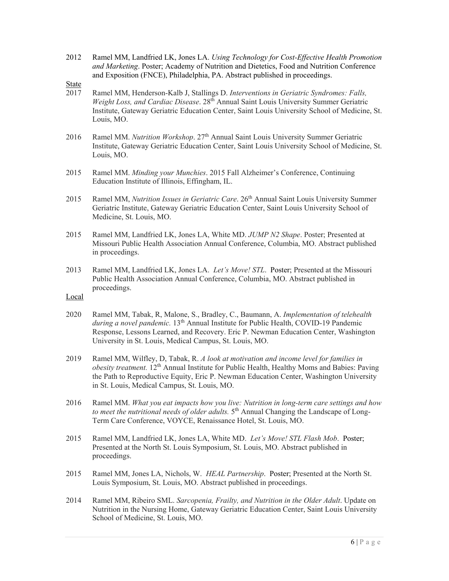- 2012 Ramel MM, Landfried LK, Jones LA. *Using Technology for Cost-Effective Health Promotion and Marketing*. Poster; Academy of Nutrition and Dietetics, Food and Nutrition Conference and Exposition (FNCE), Philadelphia, PA. Abstract published in proceedings.
- $\frac{\text{State}}{2017}$
- Ramel MM, Henderson-Kalb J, Stallings D. *Interventions in Geriatric Syndromes: Falls*, *Weight Loss, and Cardiac Disease.* 28<sup>th</sup> Annual Saint Louis University Summer Geriatric Institute, Gateway Geriatric Education Center, Saint Louis University School of Medicine, St. Louis, MO.
- 2016 Ramel MM. *Nutrition Workshop*. 27th Annual Saint Louis University Summer Geriatric Institute, Gateway Geriatric Education Center, Saint Louis University School of Medicine, St. Louis, MO.
- 2015 Ramel MM. *Minding your Munchies*. 2015 Fall Alzheimer's Conference, Continuing Education Institute of Illinois, Effingham, IL.
- 2015 Ramel MM, *Nutrition Issues in Geriatric Care*. 26<sup>th</sup> Annual Saint Louis University Summer Geriatric Institute, Gateway Geriatric Education Center, Saint Louis University School of Medicine, St. Louis, MO.
- 2015 Ramel MM, Landfried LK, Jones LA, White MD. *JUMP N2 Shape*. Poster; Presented at Missouri Public Health Association Annual Conference, Columbia, MO. Abstract published in proceedings.
- 2013 Ramel MM, Landfried LK, Jones LA. *Let's Move! STL*. Poster; Presented at the Missouri Public Health Association Annual Conference, Columbia, MO. Abstract published in proceedings.

Local

- 2020 Ramel MM, Tabak, R, Malone, S., Bradley, C., Baumann, A. *Implementation of telehealth during a novel pandemic.* 13<sup>th</sup> Annual Institute for Public Health, COVID-19 Pandemic Response, Lessons Learned, and Recovery. Eric P. Newman Education Center, Washington University in St. Louis, Medical Campus, St. Louis, MO.
- 2019 Ramel MM, Wilfley, D, Tabak, R. *A look at motivation and income level for families in obesity treatment.* 12<sup>th</sup> Annual Institute for Public Health, Healthy Moms and Babies: Paving the Path to Reproductive Equity, Eric P. Newman Education Center, Washington University in St. Louis, Medical Campus, St. Louis, MO.
- 2016 Ramel MM. *What you eat impacts how you live: Nutrition in long-term care settings and how*  to meet the nutritional needs of older adults. 5<sup>th</sup> Annual Changing the Landscape of Long-Term Care Conference, VOYCE, Renaissance Hotel, St. Louis, MO.
- 2015 Ramel MM, Landfried LK, Jones LA, White MD. *Let's Move! STL Flash Mob*. Poster; Presented at the North St. Louis Symposium, St. Louis, MO. Abstract published in proceedings.
- 2015 Ramel MM, Jones LA, Nichols, W. *HEAL Partnership*. Poster; Presented at the North St. Louis Symposium, St. Louis, MO. Abstract published in proceedings.
- 2014 Ramel MM, Ribeiro SML. *Sarcopenia, Frailty, and Nutrition in the Older Adult*. Update on Nutrition in the Nursing Home, Gateway Geriatric Education Center, Saint Louis University School of Medicine, St. Louis, MO.